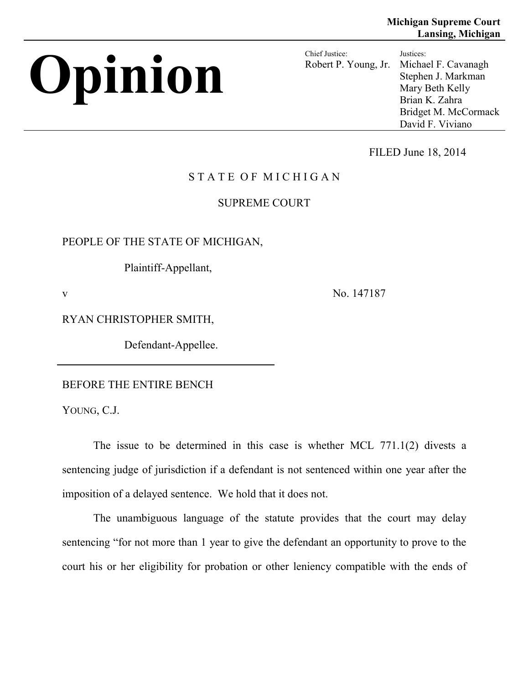# **Opinion** Chief Justice:

Robert P. Young, Jr. Justices: Michael F. Cavanagh Stephen J. Markman Mary Beth Kelly Brian K. Zahra Bridget M. McCormack David F. Viviano

FILED June 18, 2014

# STATE OF MICHIGAN

## SUPREME COURT

PEOPLE OF THE STATE OF MICHIGAN,

Plaintiff-Appellant,

v No. 147187

RYAN CHRISTOPHER SMITH,

Defendant-Appellee.

BEFORE THE ENTIRE BENCH

YOUNG, C.J.

The issue to be determined in this case is whether MCL 771.1(2) divests a sentencing judge of jurisdiction if a defendant is not sentenced within one year after the imposition of a delayed sentence. We hold that it does not.

The unambiguous language of the statute provides that the court may delay sentencing "for not more than 1 year to give the defendant an opportunity to prove to the court his or her eligibility for probation or other leniency compatible with the ends of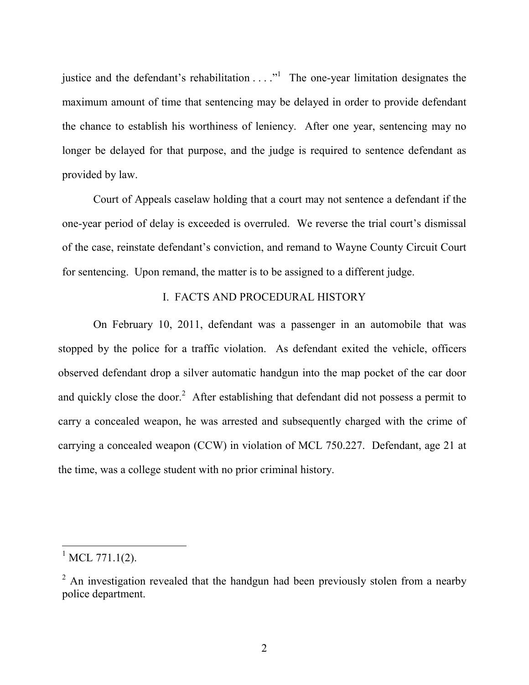justice and the defendant's rehabilitation  $\dots$ <sup>1</sup> The one-year limitation designates the maximum amount of time that sentencing may be delayed in order to provide defendant the chance to establish his worthiness of leniency. After one year, sentencing may no longer be delayed for that purpose, and the judge is required to sentence defendant as provided by law.

Court of Appeals caselaw holding that a court may not sentence a defendant if the one-year period of delay is exceeded is overruled. We reverse the trial court's dismissal of the case, reinstate defendant's conviction, and remand to Wayne County Circuit Court for sentencing. Upon remand, the matter is to be assigned to a different judge.

### I. FACTS AND PROCEDURAL HISTORY

On February 10, 2011, defendant was a passenger in an automobile that was stopped by the police for a traffic violation. As defendant exited the vehicle, officers observed defendant drop a silver automatic handgun into the map pocket of the car door and quickly close the door.<sup>2</sup> After establishing that defendant did not possess a permit to carry a concealed weapon, he was arrested and subsequently charged with the crime of carrying a concealed weapon (CCW) in violation of MCL 750.227. Defendant, age 21 at the time, was a college student with no prior criminal history.

 $^{1}$  MCL 771.1(2).

<sup>&</sup>lt;sup>2</sup> An investigation revealed that the handgun had been previously stolen from a nearby police department.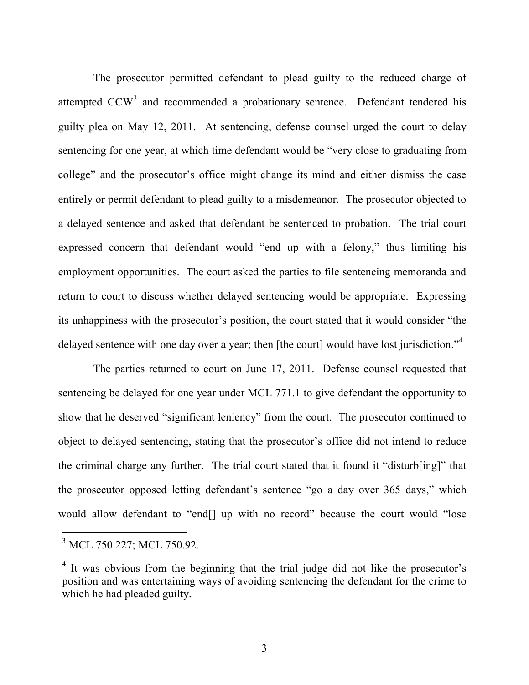The prosecutor permitted defendant to plead guilty to the reduced charge of attempted CCW<sup>3</sup> and recommended a probationary sentence. Defendant tendered his guilty plea on May 12, 2011. At sentencing, defense counsel urged the court to delay sentencing for one year, at which time defendant would be "very close to graduating from college" and the prosecutor's office might change its mind and either dismiss the case entirely or permit defendant to plead guilty to a misdemeanor. The prosecutor objected to a delayed sentence and asked that defendant be sentenced to probation. The trial court expressed concern that defendant would "end up with a felony," thus limiting his employment opportunities. The court asked the parties to file sentencing memoranda and return to court to discuss whether delayed sentencing would be appropriate. Expressing its unhappiness with the prosecutor's position, the court stated that it would consider "the delayed sentence with one day over a year; then [the court] would have lost jurisdiction."<sup>4</sup>

The parties returned to court on June 17, 2011. Defense counsel requested that sentencing be delayed for one year under MCL 771.1 to give defendant the opportunity to show that he deserved "significant leniency" from the court. The prosecutor continued to object to delayed sentencing, stating that the prosecutor's office did not intend to reduce the criminal charge any further. The trial court stated that it found it "disturb[ing]" that the prosecutor opposed letting defendant's sentence "go a day over 365 days," which would allow defendant to "end[] up with no record" because the court would "lose

<sup>&</sup>lt;sup>3</sup> MCL 750.227; MCL 750.92.

<sup>&</sup>lt;sup>4</sup> It was obvious from the beginning that the trial judge did not like the prosecutor's position and was entertaining ways of avoiding sentencing the defendant for the crime to which he had pleaded guilty.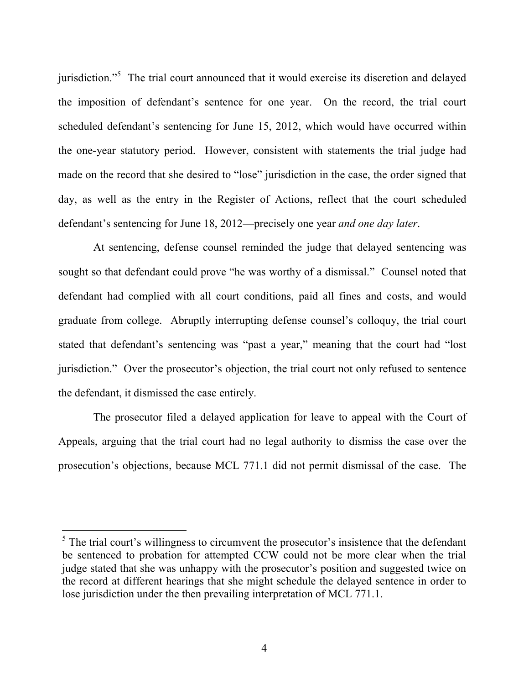jurisdiction."<sup>5</sup> The trial court announced that it would exercise its discretion and delayed the imposition of defendant's sentence for one year. On the record, the trial court scheduled defendant's sentencing for June 15, 2012, which would have occurred within the one-year statutory period. However, consistent with statements the trial judge had made on the record that she desired to "lose" jurisdiction in the case, the order signed that day, as well as the entry in the Register of Actions, reflect that the court scheduled defendant's sentencing for June 18, 2012—precisely one year *and one day later*.

At sentencing, defense counsel reminded the judge that delayed sentencing was sought so that defendant could prove "he was worthy of a dismissal." Counsel noted that defendant had complied with all court conditions, paid all fines and costs, and would graduate from college. Abruptly interrupting defense counsel's colloquy, the trial court stated that defendant's sentencing was "past a year," meaning that the court had "lost jurisdiction." Over the prosecutor's objection, the trial court not only refused to sentence the defendant, it dismissed the case entirely.

The prosecutor filed a delayed application for leave to appeal with the Court of Appeals, arguing that the trial court had no legal authority to dismiss the case over the prosecution's objections, because MCL 771.1 did not permit dismissal of the case. The

<sup>&</sup>lt;sup>5</sup> The trial court's willingness to circumvent the prosecutor's insistence that the defendant be sentenced to probation for attempted CCW could not be more clear when the trial judge stated that she was unhappy with the prosecutor's position and suggested twice on the record at different hearings that she might schedule the delayed sentence in order to lose jurisdiction under the then prevailing interpretation of MCL 771.1.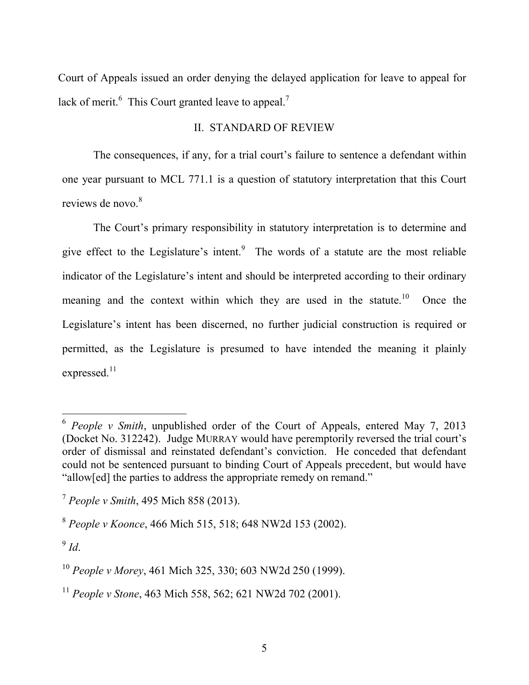Court of Appeals issued an order denying the delayed application for leave to appeal for lack of merit. $\frac{6}{5}$  This Court granted leave to appeal.<sup>7</sup>

### II. STANDARD OF REVIEW

The consequences, if any, for a trial court's failure to sentence a defendant within one year pursuant to MCL 771.1 is a question of statutory interpretation that this Court reviews de novo.<sup>8</sup>

The Court's primary responsibility in statutory interpretation is to determine and give effect to the Legislature's intent. $9$  The words of a statute are the most reliable indicator of the Legislature's intent and should be interpreted according to their ordinary meaning and the context within which they are used in the statute.<sup>10</sup> Once the Legislature's intent has been discerned, no further judicial construction is required or permitted, as the Legislature is presumed to have intended the meaning it plainly expressed.<sup>11</sup>

 <sup>6</sup> *People v Smith*, unpublished order of the Court of Appeals, entered May 7, 2013 (Docket No. 312242). Judge MURRAY would have peremptorily reversed the trial court's order of dismissal and reinstated defendant's conviction. He conceded that defendant could not be sentenced pursuant to binding Court of Appeals precedent, but would have "allow[ed] the parties to address the appropriate remedy on remand."

<sup>7</sup> *People v Smith*, 495 Mich 858 (2013).

<sup>8</sup> *People v Koonce*, 466 Mich 515, 518; 648 NW2d 153 (2002).

<sup>9</sup> *Id*.

<sup>10</sup> *People v Morey*, 461 Mich 325, 330; 603 NW2d 250 (1999).

<sup>11</sup> *People v Stone*, 463 Mich 558, 562; 621 NW2d 702 (2001).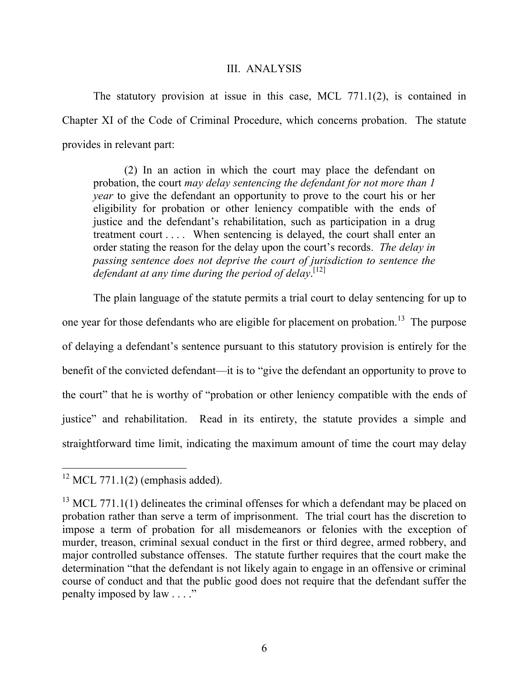### III. ANALYSIS

The statutory provision at issue in this case, MCL 771.1(2), is contained in Chapter XI of the Code of Criminal Procedure, which concerns probation. The statute provides in relevant part:

(2) In an action in which the court may place the defendant on probation, the court *may delay sentencing the defendant for not more than 1 year* to give the defendant an opportunity to prove to the court his or her eligibility for probation or other leniency compatible with the ends of justice and the defendant's rehabilitation, such as participation in a drug treatment court . . . . When sentencing is delayed, the court shall enter an order stating the reason for the delay upon the court's records. *The delay in passing sentence does not deprive the court of jurisdiction to sentence the defendant at any time during the period of delay*. [12]

The plain language of the statute permits a trial court to delay sentencing for up to one year for those defendants who are eligible for placement on probation.<sup>13</sup> The purpose of delaying a defendant's sentence pursuant to this statutory provision is entirely for the benefit of the convicted defendant—it is to "give the defendant an opportunity to prove to the court" that he is worthy of "probation or other leniency compatible with the ends of justice" and rehabilitation. Read in its entirety, the statute provides a simple and straightforward time limit, indicating the maximum amount of time the court may delay

 $12$  MCL 771.1(2) (emphasis added).

 $13$  MCL 771.1(1) delineates the criminal offenses for which a defendant may be placed on probation rather than serve a term of imprisonment. The trial court has the discretion to impose a term of probation for all misdemeanors or felonies with the exception of murder, treason, criminal sexual conduct in the first or third degree, armed robbery, and major controlled substance offenses. The statute further requires that the court make the determination "that the defendant is not likely again to engage in an offensive or criminal course of conduct and that the public good does not require that the defendant suffer the penalty imposed by law . . . ."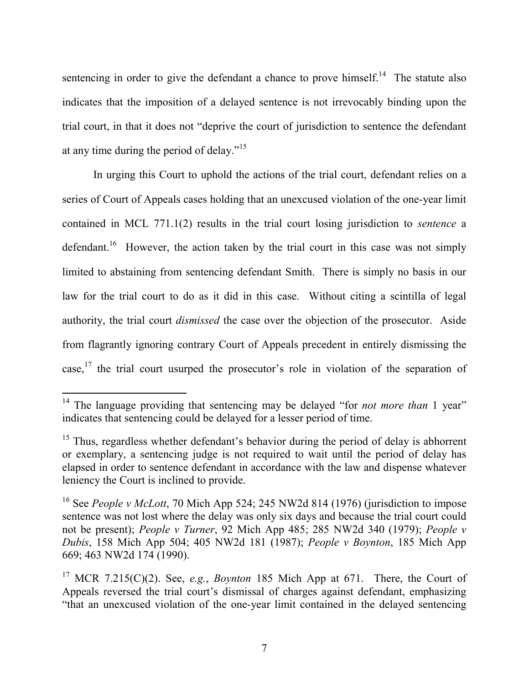sentencing in order to give the defendant a chance to prove himself.<sup>14</sup> The statute also indicates that the imposition of a delayed sentence is not irrevocably binding upon the trial court, in that it does not "deprive the court of jurisdiction to sentence the defendant at any time during the period of delay."<sup>15</sup>

In urging this Court to uphold the actions of the trial court, defendant relies on a series of Court of Appeals cases holding that an unexcused violation of the one-year limit contained in MCL 771.1(2) results in the trial court losing jurisdiction to *sentence* a defendant.<sup>16</sup> However, the action taken by the trial court in this case was not simply limited to abstaining from sentencing defendant Smith. There is simply no basis in our law for the trial court to do as it did in this case. Without citing a scintilla of legal authority, the trial court *dismissed* the case over the objection of the prosecutor. Aside from flagrantly ignoring contrary Court of Appeals precedent in entirely dismissing the case,<sup>17</sup> the trial court usurped the prosecutor's role in violation of the separation of

<sup>&</sup>lt;sup>14</sup> The language providing that sentencing may be delayed "for *not more than* 1 year" indicates that sentencing could be delayed for a lesser period of time.

 $15$  Thus, regardless whether defendant's behavior during the period of delay is abhorrent or exemplary, a sentencing judge is not required to wait until the period of delay has elapsed in order to sentence defendant in accordance with the law and dispense whatever leniency the Court is inclined to provide.

<sup>16</sup> See *People v McLott*, 70 Mich App 524; 245 NW2d 814 (1976) (jurisdiction to impose sentence was not lost where the delay was only six days and because the trial court could not be present); *People v Turner*, 92 Mich App 485; 285 NW2d 340 (1979); *People v Dubis*, 158 Mich App 504; 405 NW2d 181 (1987); *People v Boynton*, 185 Mich App 669; 463 NW2d 174 (1990).

<sup>17</sup> MCR 7.215(C)(2). See, *e.g.*, *Boynton* 185 Mich App at 671. There, the Court of Appeals reversed the trial court's dismissal of charges against defendant, emphasizing "that an unexcused violation of the one-year limit contained in the delayed sentencing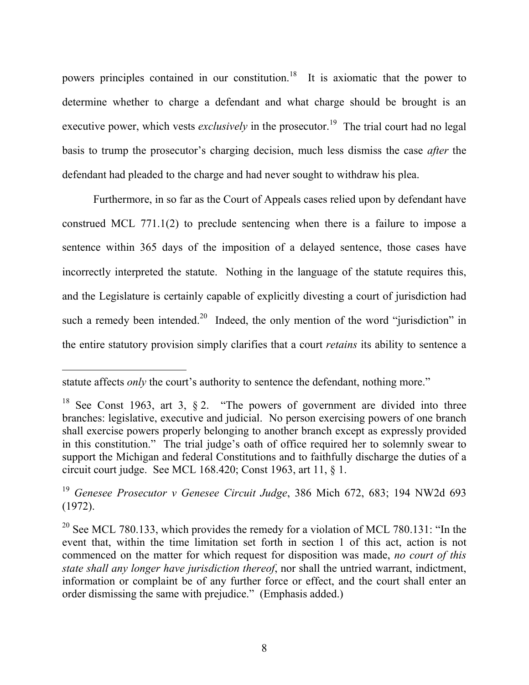powers principles contained in our constitution.<sup>18</sup> It is axiomatic that the power to determine whether to charge a defendant and what charge should be brought is an executive power, which vests *exclusively* in the prosecutor.<sup>19</sup> The trial court had no legal basis to trump the prosecutor's charging decision, much less dismiss the case *after* the defendant had pleaded to the charge and had never sought to withdraw his plea.

Furthermore, in so far as the Court of Appeals cases relied upon by defendant have construed MCL 771.1(2) to preclude sentencing when there is a failure to impose a sentence within 365 days of the imposition of a delayed sentence, those cases have incorrectly interpreted the statute. Nothing in the language of the statute requires this, and the Legislature is certainly capable of explicitly divesting a court of jurisdiction had such a remedy been intended.<sup>20</sup> Indeed, the only mention of the word "jurisdiction" in the entire statutory provision simply clarifies that a court *retains* its ability to sentence a

statute affects *only* the court's authority to sentence the defendant, nothing more."

<sup>&</sup>lt;sup>18</sup> See Const 1963, art 3,  $\S 2$ . "The powers of government are divided into three branches: legislative, executive and judicial. No person exercising powers of one branch shall exercise powers properly belonging to another branch except as expressly provided in this constitution." The trial judge's oath of office required her to solemnly swear to support the Michigan and federal Constitutions and to faithfully discharge the duties of a circuit court judge. See MCL 168.420; Const 1963, art 11, § 1.

<sup>19</sup> *Genesee Prosecutor v Genesee Circuit Judge*, 386 Mich 672, 683; 194 NW2d 693 (1972).

<sup>&</sup>lt;sup>20</sup> See MCL 780.133, which provides the remedy for a violation of MCL 780.131: "In the event that, within the time limitation set forth in section 1 of this act, action is not commenced on the matter for which request for disposition was made, *no court of this state shall any longer have jurisdiction thereof*, nor shall the untried warrant, indictment, information or complaint be of any further force or effect, and the court shall enter an order dismissing the same with prejudice." (Emphasis added.)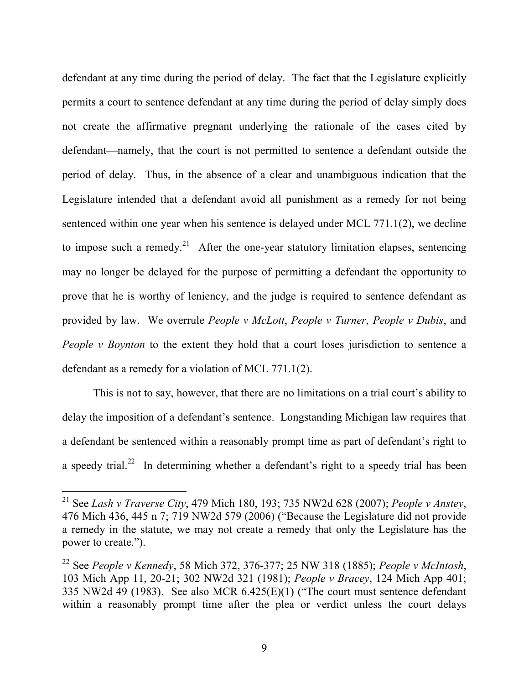defendant at any time during the period of delay. The fact that the Legislature explicitly permits a court to sentence defendant at any time during the period of delay simply does not create the affirmative pregnant underlying the rationale of the cases cited by defendant—namely, that the court is not permitted to sentence a defendant outside the period of delay. Thus, in the absence of a clear and unambiguous indication that the Legislature intended that a defendant avoid all punishment as a remedy for not being sentenced within one year when his sentence is delayed under MCL 771.1(2), we decline to impose such a remedy.<sup>21</sup> After the one-year statutory limitation elapses, sentencing may no longer be delayed for the purpose of permitting a defendant the opportunity to prove that he is worthy of leniency, and the judge is required to sentence defendant as provided by law. We overrule *People v McLott*, *People v Turner*, *People v Dubis*, and *People v Boynton* to the extent they hold that a court loses jurisdiction to sentence a defendant as a remedy for a violation of MCL 771.1(2).

This is not to say, however, that there are no limitations on a trial court's ability to delay the imposition of a defendant's sentence. Longstanding Michigan law requires that a defendant be sentenced within a reasonably prompt time as part of defendant's right to a speedy trial.<sup>22</sup> In determining whether a defendant's right to a speedy trial has been

 <sup>21</sup> See *Lash v Traverse City*, 479 Mich 180, 193; 735 NW2d 628 (2007); *People v Anstey*, 476 Mich 436, 445 n 7; 719 NW2d 579 (2006) ("Because the Legislature did not provide a remedy in the statute, we may not create a remedy that only the Legislature has the power to create.").

<sup>22</sup> See *People v Kennedy*, 58 Mich 372, 376-377; 25 NW 318 (1885); *People v McIntosh*, 103 Mich App 11, 20-21; 302 NW2d 321 (1981); *People v Bracey*, 124 Mich App 401; 335 NW2d 49 (1983). See also MCR 6.425(E)(1) ("The court must sentence defendant within a reasonably prompt time after the plea or verdict unless the court delays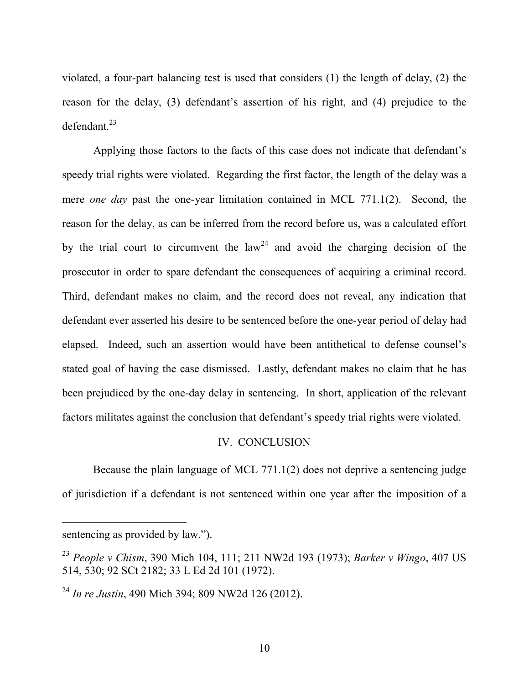violated, a four-part balancing test is used that considers (1) the length of delay, (2) the reason for the delay, (3) defendant's assertion of his right, and (4) prejudice to the  $defendant.<sup>23</sup>$ 

Applying those factors to the facts of this case does not indicate that defendant's speedy trial rights were violated. Regarding the first factor, the length of the delay was a mere *one day* past the one-year limitation contained in MCL 771.1(2). Second, the reason for the delay, as can be inferred from the record before us, was a calculated effort by the trial court to circumvent the law<sup>24</sup> and avoid the charging decision of the prosecutor in order to spare defendant the consequences of acquiring a criminal record. Third, defendant makes no claim, and the record does not reveal, any indication that defendant ever asserted his desire to be sentenced before the one-year period of delay had elapsed. Indeed, such an assertion would have been antithetical to defense counsel's stated goal of having the case dismissed. Lastly, defendant makes no claim that he has been prejudiced by the one-day delay in sentencing. In short, application of the relevant factors militates against the conclusion that defendant's speedy trial rights were violated.

### IV. CONCLUSION

Because the plain language of MCL 771.1(2) does not deprive a sentencing judge of jurisdiction if a defendant is not sentenced within one year after the imposition of a

-

sentencing as provided by law.").

<sup>23</sup> *People v Chism*, 390 Mich 104, 111; 211 NW2d 193 (1973); *Barker v Wingo*, 407 US 514, 530; 92 SCt 2182; 33 L Ed 2d 101 (1972).

<sup>24</sup> *In re Justin*, 490 Mich 394; 809 NW2d 126 (2012).